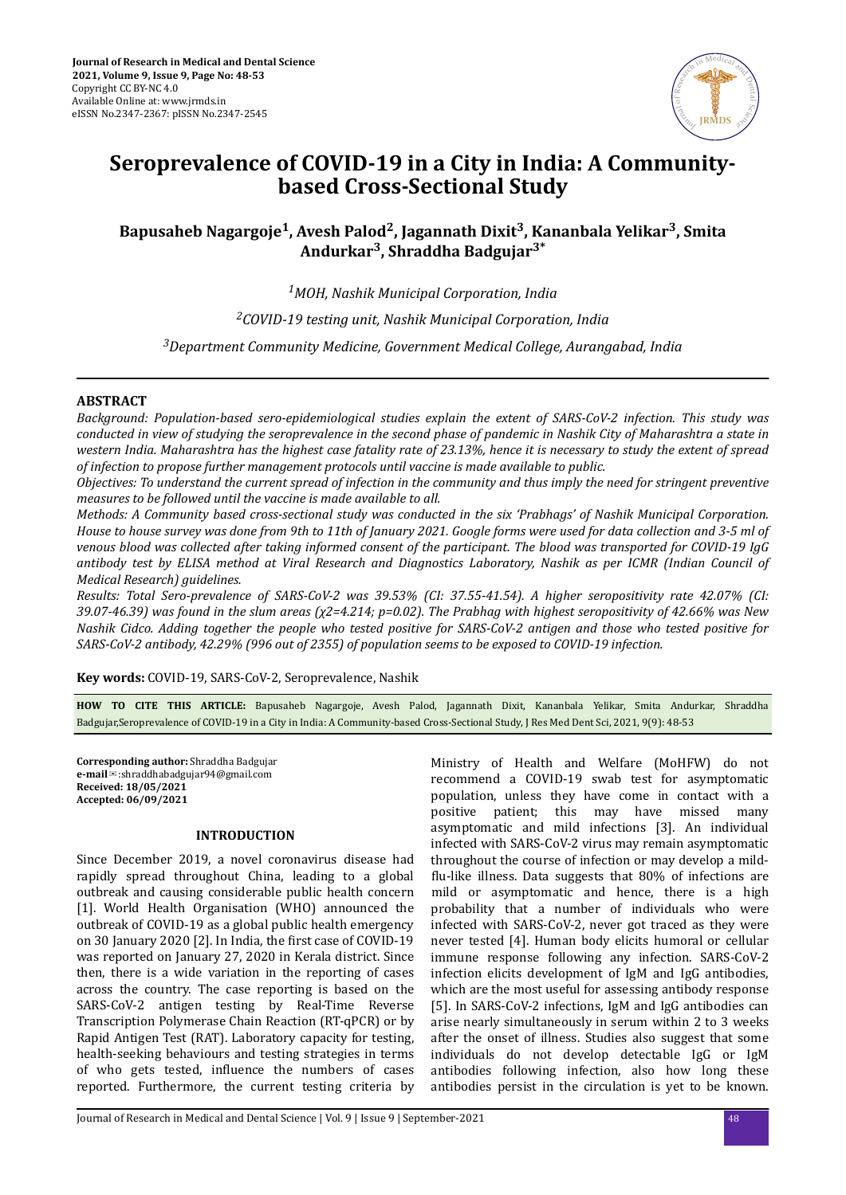

# **Seroprevalence of COVID-19 in a City in India: A Communitybased Cross-Sectional Study**

# **Bapusaheb Nagargoje<sup>1</sup> , Avesh Palod<sup>2</sup> , Jagannath Dixit<sup>3</sup> , Kananbala Yelikar<sup>3</sup> , Smita Andurkar<sup>3</sup> , Shraddha Badgujar3\***

*<sup>1</sup>MOH, Nashik Municipal Corporation, India*

*<sup>2</sup>COVID-19 testing unit, Nashik Municipal Corporation, India*

*<sup>3</sup>Department Community Medicine, Government Medical College, Aurangabad, India*

# **ABSTRACT**

*Background: Population-based sero-epidemiological studies explain the extent of SARS-CoV-2 infection. This study was conducted in view of studying the seroprevalence in the second phase of pandemic in Nashik City of Maharashtra a state in western India. Maharashtra has the highest case fatality rate of 23.13%, hence it is necessary to study the extent of spread of infection to propose further management protocols until vaccine is made available to public.*

*Objectives: To understand the current spread of infection in the community and thus imply the need for stringent preventive measures to be followed until the vaccine is made available to all.*

*Methods: A Community based cross-sectional study was conducted in the six 'Prabhags' of Nashik Municipal Corporation. House to house survey was done from 9th to 11th of January 2021. Google forms were used for data collection and 3-5 ml of venous blood was collected after taking informed consent of the participant. The blood was transported for COVID-19 IgG antibody test by ELISA method at Viral Research and Diagnostics Laboratory, Nashik as per ICMR (Indian Council of Medical Research) guidelines.*

*Results: Total Sero-prevalence of SARS-CoV-2 was 39.53% (CI: 37.55-41.54). A higher seropositivity rate 42.07% (CI: 39.07-46.39) was found in the slum areas (χ2=4.214; p=0.02). The Prabhag with highest seropositivity of 42.66% was New Nashik Cidco. Adding together the people who tested positive for SARS-CoV-2 antigen and those who tested positive for SARS-CoV-2 antibody, 42.29% (996 out of 2355) of population seems to be exposed to COVID-19 infection.*

**Key words:** COVID-19, SARS-CoV-2, Seroprevalence, Nashik

**HOW TO CITE THIS ARTICLE:** Bapusaheb Nagargoje, Avesh Palod, Jagannath Dixit, Kananbala Yelikar, Smita Andurkar, Shraddha Badgujar,Seroprevalence of COVID-19 in a City in India: A Community-based Cross-Sectional Study, J Res Med Dent Sci, 2021, 9(9): 48-53

**Corresponding author:** Shraddha Badgujar **e-mail**✉:shraddhabadgujar94@gmail.com **Received: 18/05/2021 Accepted: 06/09/2021** 

### **INTRODUCTION**

Since December 2019, a novel coronavirus disease had rapidly spread throughout China, leading to a global outbreak and causing considerable public health concern [1]. World Health Organisation (WHO) announced the outbreak of COVID-19 as a global public health emergency on 30 January 2020 [2]. In India, the first case of COVID-19 was reported on January 27, 2020 in Kerala district. Since then, there is a wide variation in the reporting of cases across the country. The case reporting is based on the SARS-CoV-2 antigen testing by Real-Time Reverse Transcription Polymerase Chain Reaction (RT-qPCR) or by Rapid Antigen Test (RAT). Laboratory capacity for testing, health-seeking behaviours and testing strategies in terms of who gets tested, influence the numbers of cases reported. Furthermore, the current testing criteria by Ministry of Health and Welfare (MoHFW) do not recommend a COVID-19 swab test for asymptomatic population, unless they have come in contact with a positive patient; this may have missed many asymptomatic and mild infections [3]. An individual infected with SARS-CoV-2 virus may remain asymptomatic throughout the course of infection or may develop a mildflu-like illness. Data suggests that 80% of infections are mild or asymptomatic and hence, there is a high probability that a number of individuals who were infected with SARS-CoV-2, never got traced as they were never tested [4]. Human body elicits humoral or cellular immune response following any infection. SARS-CoV-2 infection elicits development of IgM and IgG antibodies, which are the most useful for assessing antibody response [5]. In SARS-CoV-2 infections, IgM and IgG antibodies can arise nearly simultaneously in serum within 2 to 3 weeks after the onset of illness. Studies also suggest that some individuals do not develop detectable IgG or IgM antibodies following infection, also how long these antibodies persist in the circulation is yet to be known.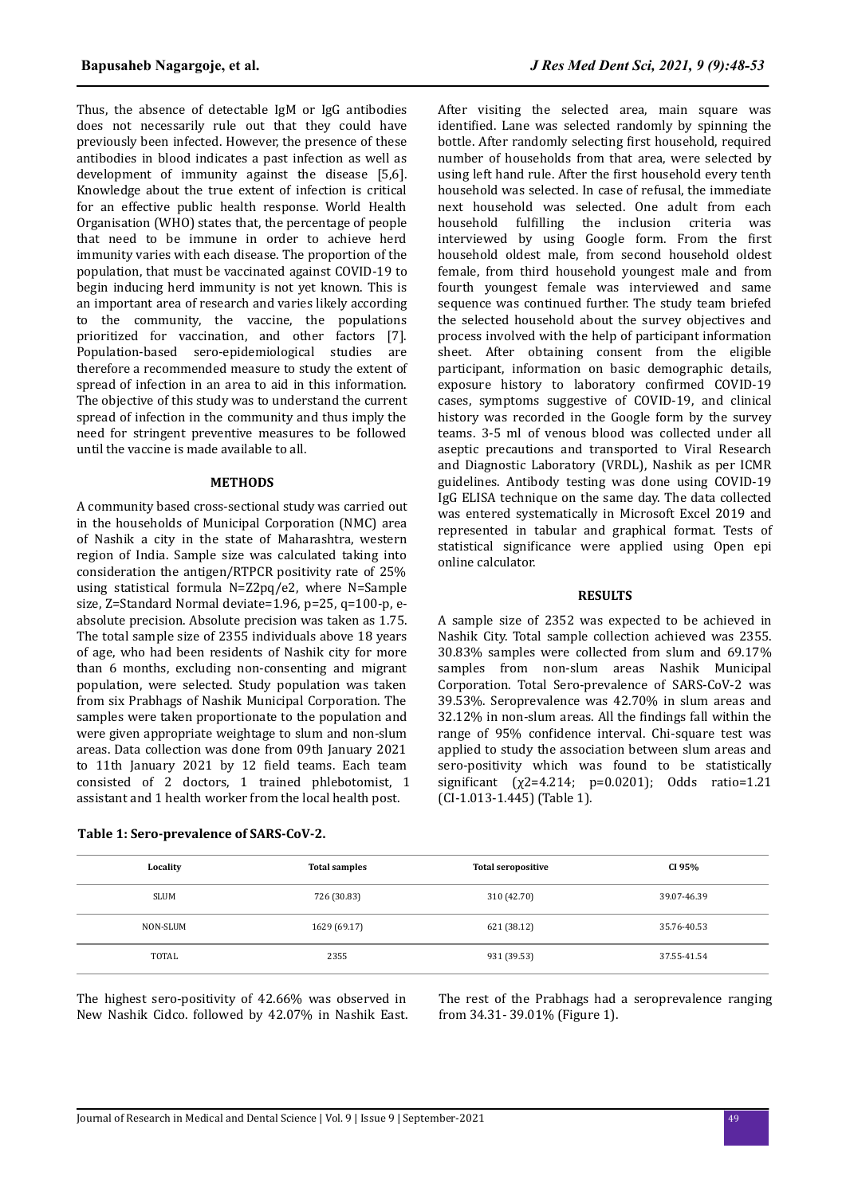Thus, the absence of detectable IgM or IgG antibodies does not necessarily rule out that they could have previously been infected. However, the presence of these antibodies in blood indicates a past infection as well as development of immunity against the disease [5,6]. Knowledge about the true extent of infection is critical for an effective public health response. World Health Organisation (WHO) states that, the percentage of people that need to be immune in order to achieve herd immunity varies with each disease. The proportion of the population, that must be vaccinated against COVID-19 to begin inducing herd immunity is not yet known. This is an important area of research and varies likely according to the community, the vaccine, the populations prioritized for vaccination, and other factors [7]. Population-based sero-epidemiological studies are therefore a recommended measure to study the extent of spread of infection in an area to aid in this information. The objective of this study was to understand the current spread of infection in the community and thus imply the need for stringent preventive measures to be followed until the vaccine is made available to all.

# **METHODS**

A community based cross-sectional study was carried out in the households of Municipal Corporation (NMC) area of Nashik a city in the state of Maharashtra, western region of India. Sample size was calculated taking into consideration the antigen/RTPCR positivity rate of 25% using statistical formula N=Z2pq/e2, where N=Sample size, Z=Standard Normal deviate=1.96, p=25, q=100-p, eabsolute precision. Absolute precision was taken as 1.75. The total sample size of 2355 individuals above 18 years of age, who had been residents of Nashik city for more than 6 months, excluding non-consenting and migrant population, were selected. Study population was taken from six Prabhags of Nashik Municipal Corporation. The samples were taken proportionate to the population and were given appropriate weightage to slum and non-slum areas. Data collection was done from 09th January 2021 to 11th January 2021 by 12 field teams. Each team consisted of 2 doctors, 1 trained phlebotomist, 1 assistant and 1 health worker from the local health post.

After visiting the selected area, main square was identified. Lane was selected randomly by spinning the bottle. After randomly selecting first household, required number of households from that area, were selected by using left hand rule. After the first household every tenth household was selected. In case of refusal, the immediate next household was selected. One adult from each household fulfilling the inclusion criteria was interviewed by using Google form. From the first household oldest male, from second household oldest female, from third household youngest male and from fourth youngest female was interviewed and same sequence was continued further. The study team briefed the selected household about the survey objectives and process involved with the help of participant information sheet. After obtaining consent from the eligible participant, information on basic demographic details, exposure history to laboratory confirmed COVID-19 cases, symptoms suggestive of COVID-19, and clinical history was recorded in the Google form by the survey teams. 3-5 ml of venous blood was collected under all aseptic precautions and transported to Viral Research and Diagnostic Laboratory (VRDL), Nashik as per ICMR guidelines. Antibody testing was done using COVID-19 IgG ELISA technique on the same day. The data collected was entered systematically in Microsoft Excel 2019 and represented in tabular and graphical format. Tests of statistical significance were applied using Open epi online calculator.

## **RESULTS**

A sample size of 2352 was expected to be achieved in Nashik City. Total sample collection achieved was 2355. 30.83% samples were collected from slum and 69.17% samples from non-slum areas Nashik Municipal Corporation. Total Sero-prevalence of SARS-CoV-2 was 39.53%. Seroprevalence was 42.70% in slum areas and 32.12% in non-slum areas. All the findings fall within the range of 95% confidence interval. Chi-square test was applied to study the association between slum areas and sero-positivity which was found to be statistically significant ( $\chi$ 2=4.214; p=0.0201); Odds ratio=1.21 (CI-1.013-1.445) (Table 1).

| Locality    | <b>Total samples</b> | <b>Total seropositive</b> | CI 95%      |
|-------------|----------------------|---------------------------|-------------|
| <b>SLUM</b> | 726 (30.83)          | 310 (42.70)               | 39.07-46.39 |
| NON-SLUM    | 1629 (69.17)         | 621 (38.12)               | 35.76-40.53 |
| TOTAL       | 2355                 | 931 (39.53)               | 37.55-41.54 |

The highest sero-positivity of 42.66% was observed in New Nashik Cidco. followed by 42.07% in Nashik East. The rest of the Prabhags had a seroprevalence ranging from 34.31- 39.01% (Figure 1).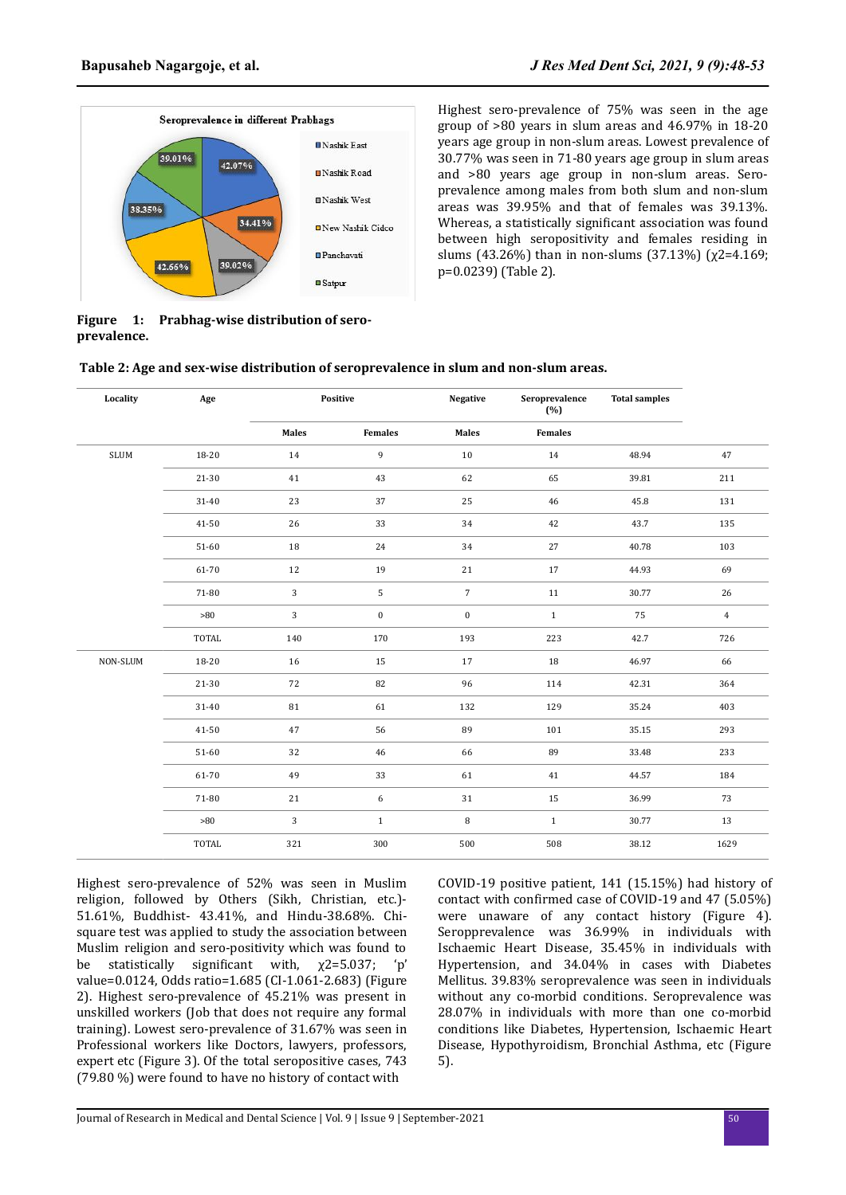

Highest sero-prevalence of 75% was seen in the age group of >80 years in slum areas and 46.97% in 18-20 years age group in non-slum areas. Lowest prevalence of 30.77% was seen in 71-80 years age group in slum areas and >80 years age group in non-slum areas. Seroprevalence among males from both slum and non-slum areas was 39.95% and that of females was 39.13%. Whereas, a statistically significant association was found between high seropositivity and females residing in slums (43.26%) than in non-slums (37.13%) (χ2=4.169; p=0.0239) (Table 2).

|             | Figure 1: Prabhag-wise distribution of sero- |
|-------------|----------------------------------------------|
| prevalence. |                                              |

| Table 2: Age and sex-wise distribution of seroprevalence in slum and non-slum areas. |  |
|--------------------------------------------------------------------------------------|--|
|                                                                                      |  |

| Locality                       | Age       |              | Positive         | <b>Negative</b>  | Seroprevalence<br>(%) | <b>Total samples</b> |                |
|--------------------------------|-----------|--------------|------------------|------------------|-----------------------|----------------------|----------------|
|                                |           | <b>Males</b> | <b>Females</b>   | Males            | Females               |                      |                |
| $\operatorname{\mathsf{SLUM}}$ | 18-20     | 14           | 9                | $10\,$           | 14                    | 48.94                | 47             |
|                                | $21 - 30$ | 41           | 43               | 62               | 65                    | 39.81                | 211            |
|                                | 31-40     | 23           | 37               | 25               | 46                    | 45.8                 | 131            |
|                                | 41-50     | 26           | 33               | 34               | 42                    | 43.7                 | 135            |
|                                | $51 - 60$ | 18           | 24               | 34               | 27                    | 40.78                | 103            |
|                                | 61-70     | 12           | 19               | 21               | 17                    | 44.93                | 69             |
|                                | 71-80     | 3            | 5                | $\overline{7}$   | $11\,$                | 30.77                | 26             |
|                                | $>\!\!80$ | 3            | $\boldsymbol{0}$ | $\boldsymbol{0}$ | $\mathbf{1}$          | 75                   | $\overline{4}$ |
|                                | TOTAL     | 140          | 170              | 193              | 223                   | 42.7                 | 726            |
| NON-SLUM                       | 18-20     | 16           | 15               | 17               | 18                    | 46.97                | 66             |
|                                | $21 - 30$ | 72           | 82               | 96               | 114                   | 42.31                | 364            |
|                                | $31 - 40$ | 81           | 61               | 132              | 129                   | 35.24                | 403            |
|                                | 41-50     | 47           | 56               | 89               | 101                   | 35.15                | 293            |
|                                | $51 - 60$ | 32           | 46               | 66               | 89                    | 33.48                | 233            |
|                                | 61-70     | 49           | 33               | 61               | 41                    | 44.57                | 184            |
|                                | 71-80     | 21           | 6                | $31\,$           | 15                    | 36.99                | 73             |
|                                | $>\!\!80$ | 3            | $1\,$            | 8                | $\mathbf{1}$          | 30.77                | 13             |
|                                | TOTAL     | 321          | 300              | 500              | 508                   | 38.12                | 1629           |

Highest sero-prevalence of 52% was seen in Muslim religion, followed by Others (Sikh, Christian, etc.)- 51.61%, Buddhist- 43.41%, and Hindu-38.68%. Chisquare test was applied to study the association between Muslim religion and sero-positivity which was found to be statistically significant with,  $x2=5.037$ ; 'p' value=0.0124, Odds ratio=1.685 (CI-1.061-2.683) (Figure 2). Highest sero-prevalence of 45.21% was present in unskilled workers (Job that does not require any formal training). Lowest sero-prevalence of 31.67% was seen in Professional workers like Doctors, lawyers, professors, expert etc (Figure 3). Of the total seropositive cases, 743 (79.80 %) were found to have no history of contact with

COVID-19 positive patient, 141 (15.15%) had history of contact with confirmed case of COVID-19 and 47 (5.05%) were unaware of any contact history (Figure 4). Seropprevalence was 36.99% in individuals with Ischaemic Heart Disease, 35.45% in individuals with Hypertension, and 34.04% in cases with Diabetes Mellitus. 39.83% seroprevalence was seen in individuals without any co-morbid conditions. Seroprevalence was 28.07% in individuals with more than one co-morbid conditions like Diabetes, Hypertension, Ischaemic Heart Disease, Hypothyroidism, Bronchial Asthma, etc (Figure 5).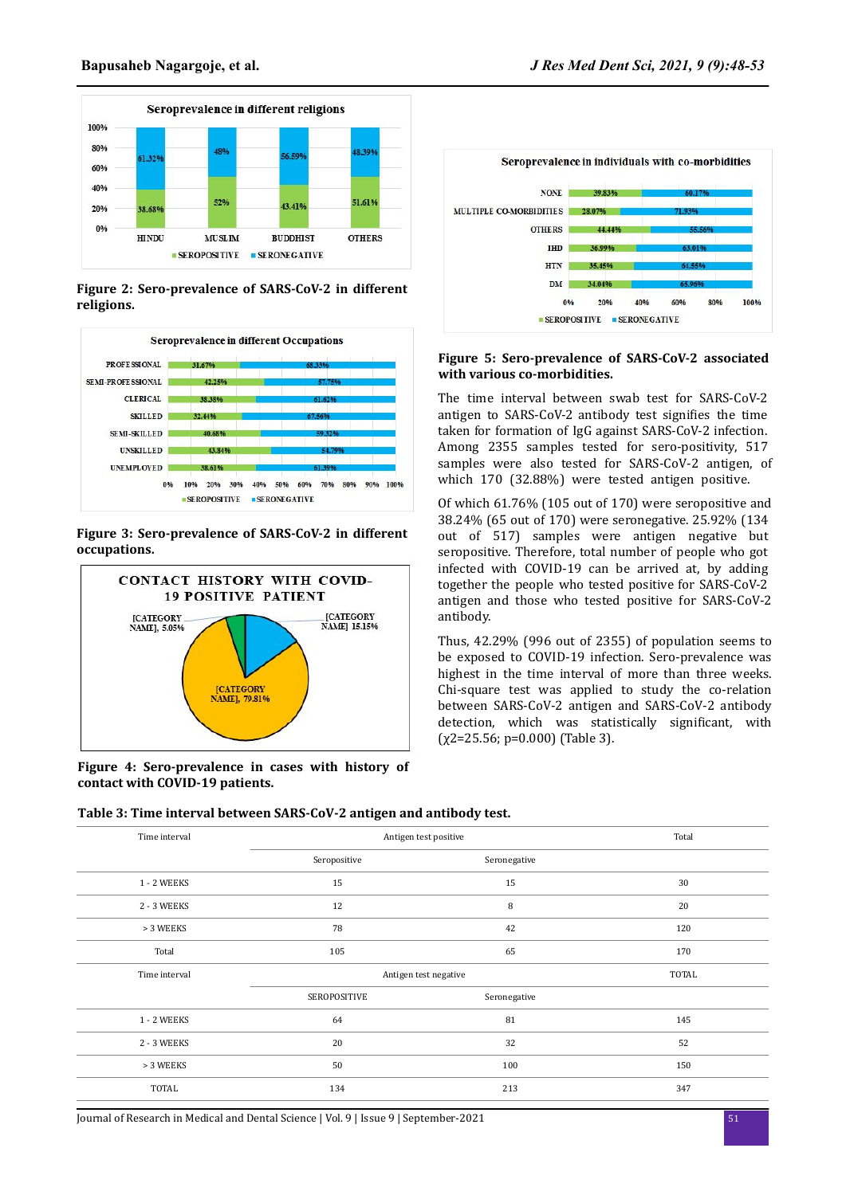

**Figure 2: Sero-prevalence of SARS-CoV-2 in different religions.**



# **Figure 3: Sero-prevalence of SARS-CoV-2 in different occupations.**



**Figure 4: Sero-prevalence in cases with history of contact with COVID-19 patients.**



#### **Figure 5: Sero-prevalence of SARS-CoV-2 associated with various co-morbidities.**

The time interval between swab test for SARS-CoV-2 antigen to SARS-CoV-2 antibody test signifies the time taken for formation of IgG against SARS-CoV-2 infection. Among 2355 samples tested for sero-positivity, 517 samples were also tested for SARS-CoV-2 antigen, of which 170 (32.88%) were tested antigen positive.

Of which 61.76% (105 out of 170) were seropositive and 38.24% (65 out of 170) were seronegative. 25.92% (134 out of 517) samples were antigen negative but seropositive. Therefore, total number of people who got infected with COVID-19 can be arrived at, by adding together the people who tested positive for SARS-CoV-2 antigen and those who tested positive for SARS-CoV-2 antibody.

Thus, 42.29% (996 out of 2355) of population seems to be exposed to COVID-19 infection. Sero-prevalence was highest in the time interval of more than three weeks. Chi-square test was applied to study the co-relation between SARS-CoV-2 antigen and SARS-CoV-2 antibody detection, which was statistically significant, with  $(\chi2=25.56; \, \mathrm{p}=0.000)$  (Table 3).

| Table 3: Time interval between SARS-CoV-2 antigen and antibody test. |  |  |
|----------------------------------------------------------------------|--|--|
|                                                                      |  |  |
|                                                                      |  |  |

| Time interval      | Antigen test positive | Total        |              |
|--------------------|-----------------------|--------------|--------------|
|                    | Seropositive          | Seronegative |              |
| 1 - 2 WEEKS        | 15                    | 15           | 30           |
| 2 - 3 WEEKS        | 12                    | 8            | 20           |
| > 3 WEEKS          | 78                    | 42           | 120          |
| Total              | 105                   | 65           | 170          |
|                    | Antigen test negative |              |              |
| Time interval      |                       |              | <b>TOTAL</b> |
|                    | SEROPOSITIVE          | Seronegative |              |
| <b>1 - 2 WEEKS</b> | 64                    | 81           | 145          |
| 2 - 3 WEEKS        | 20                    | 32           | 52           |
| > 3 WEEKS          | 50                    | 100          | 150          |
| <b>TOTAL</b>       | 134                   | 213          | 347          |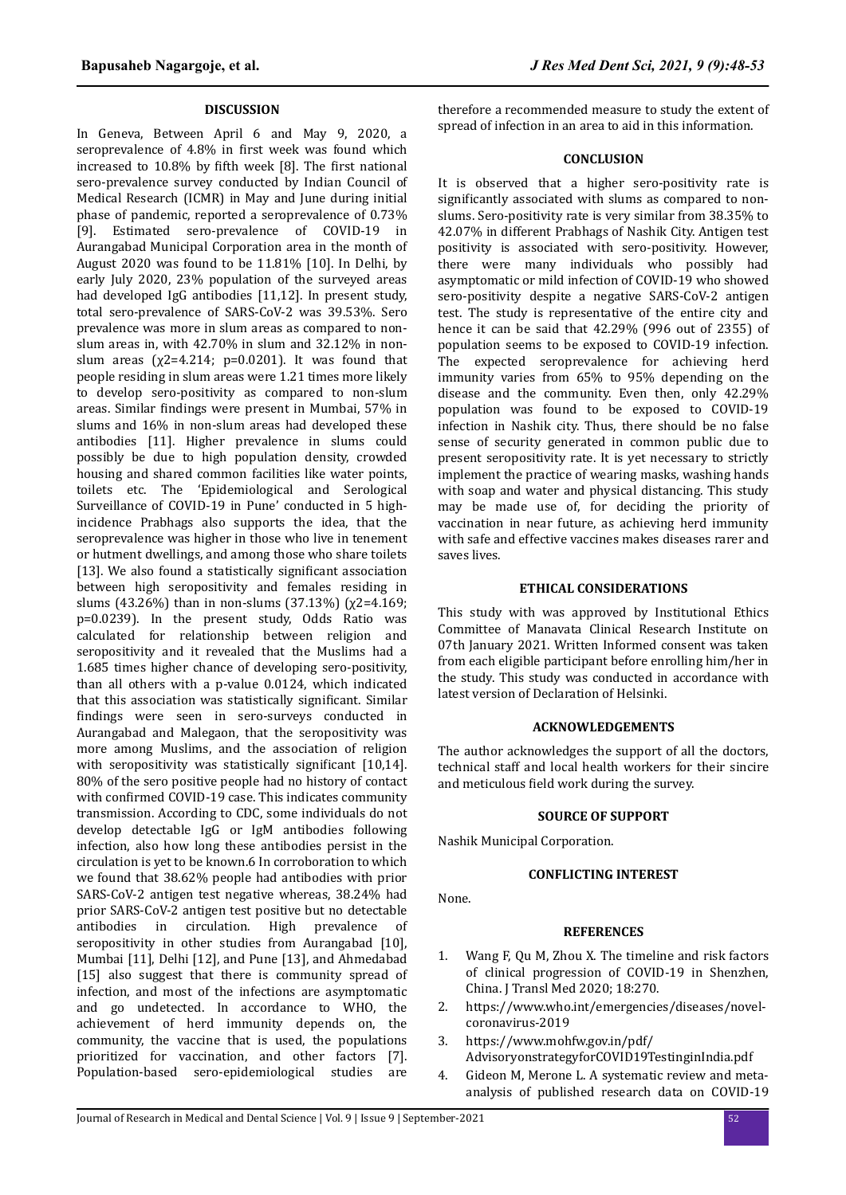## **DISCUSSION**

In Geneva, Between April 6 and May 9, 2020, a seroprevalence of 4.8% in first week was found which increased to  $10.8\%$  by fifth week [8]. The first national sero-prevalence survey conducted by Indian Council of Medical Research (ICMR) in May and June during initial phase of pandemic, reported a seroprevalence of 0.73% [9]. Estimated sero-prevalence of COVID-19 in Aurangabad Municipal Corporation area in the month of August 2020 was found to be 11.81% [10]. In Delhi, by early July 2020, 23% population of the surveyed areas had developed IgG antibodies [11,12]. In present study, total sero-prevalence of SARS-CoV-2 was 39.53%. Sero prevalence was more in slum areas as compared to nonslum areas in, with 42.70% in slum and 32.12% in nonslum areas ( $\chi$ 2=4.214; p=0.0201). It was found that people residing in slum areas were 1.21 times more likely to develop sero-positivity as compared to non-slum areas. Similar findings were present in Mumbai, 57% in slums and 16% in non-slum areas had developed these antibodies [11]. Higher prevalence in slums could possibly be due to high population density, crowded housing and shared common facilities like water points, toilets etc. The 'Epidemiological and Serological Surveillance of COVID-19 in Pune' conducted in 5 highincidence Prabhags also supports the idea, that the seroprevalence was higher in those who live in tenement or hutment dwellings, and among those who share toilets [13]. We also found a statistically significant association between high seropositivity and females residing in slums (43.26%) than in non-slums (37.13%) ( $\chi$ 2=4.169; p=0.0239). In the present study, Odds Ratio was calculated for relationship between religion and seropositivity and it revealed that the Muslims had a 1.685 times higher chance of developing sero-positivity, than all others with a p-value 0.0124, which indicated that this association was statistically significant. Similar findings were seen in sero-surveys conducted in Aurangabad and Malegaon, that the seropositivity was more among Muslims, and the association of religion with seropositivity was statistically significant  $[10,14]$ . 80% of the sero positive people had no history of contact with confirmed COVID-19 case. This indicates community transmission. According to CDC, some individuals do not develop detectable IgG or IgM antibodies following infection, also how long these antibodies persist in the circulation is yet to be known.6 In corroboration to which we found that 38.62% people had antibodies with prior SARS-CoV-2 antigen test negative whereas, 38.24% had prior SARS-CoV-2 antigen test positive but no detectable antibodies in circulation. High prevalence of seropositivity in other studies from Aurangabad [10]. Mumbai [11], Delhi [12], and Pune [13], and Ahmedabad [15] also suggest that there is community spread of infection, and most of the infections are asymptomatic and go undetected. In accordance to WHO, the achievement of herd immunity depends on, the community, the vaccine that is used, the populations prioritized for vaccination, and other factors [7]. Population-based sero-epidemiological studies are

therefore a recommended measure to study the extent of spread of infection in an area to aid in this information.

#### **CONCLUSION**

It is observed that a higher sero-positivity rate is significantly associated with slums as compared to nonslums. Sero-positivity rate is very similar from 38.35% to 42.07% in different Prabhags of Nashik City. Antigen test positivity is associated with sero-positivity. However, there were many individuals who possibly had asymptomatic or mild infection of COVID-19 who showed sero-positivity despite a negative SARS-CoV-2 antigen test. The study is representative of the entire city and hence it can be said that 42.29% (996 out of 2355) of population seems to be exposed to COVID-19 infection. The expected seroprevalence for achieving herd immunity varies from 65% to 95% depending on the disease and the community. Even then, only 42.29% population was found to be exposed to COVID-19 infection in Nashik city. Thus, there should be no false sense of security generated in common public due to present seropositivity rate. It is yet necessary to strictly implement the practice of wearing masks, washing hands with soap and water and physical distancing. This study may be made use of, for deciding the priority of vaccination in near future, as achieving herd immunity with safe and effective vaccines makes diseases rarer and saves lives.

# **ETHICAL CONSIDERATIONS**

This study with was approved by Institutional Ethics Committee of Manavata Clinical Research Institute on 07th January 2021. Written Informed consent was taken from each eligible participant before enrolling him/her in the study. This study was conducted in accordance with latest version of Declaration of Helsinki.

#### **ACKNOWLEDGEMENTS**

The author acknowledges the support of all the doctors, technical staff and local health workers for their sincire and meticulous field work during the survey.

#### **SOURCE OF SUPPORT**

Nashik Municipal Corporation.

#### **CONFLICTING INTEREST**

None.

#### **REFERENCES**

- 1. Wang F, Qu M, Zhou X. The timeline and risk factors of clinical progression of COVID-19 in Shenzhen, China. J Transl Med 2020; 18:270.
- 2. https://www.who.int/emergencies/diseases/novelcoronavirus-2019
- 3. https://www.mohfw.gov.in/pdf/ AdvisoryonstrategyforCOVID19TestinginIndia.pdf
- 4. Gideon M, Merone L. A systematic review and metaanalysis of published research data on COVID-19